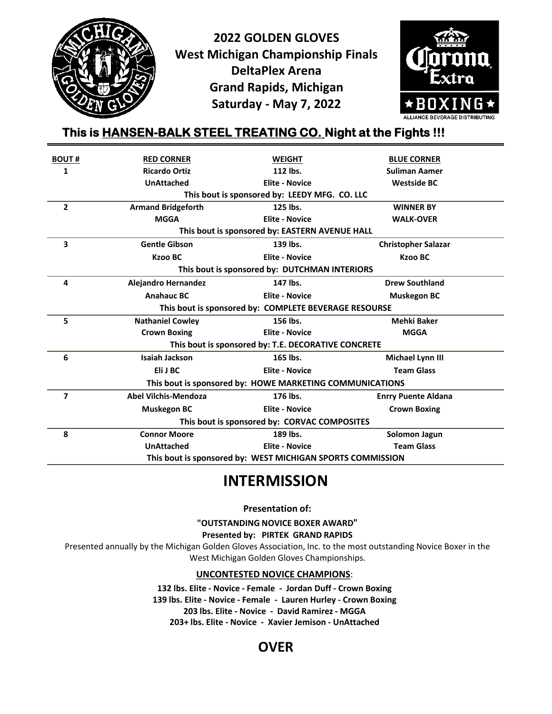

**2022 GOLDEN GLOVES West Michigan Championship Finals DeltaPlex Arena Grand Rapids, Michigan Saturday - May 7, 2022**



# **This is HANSEN-BALK STEEL TREATING CO. Night at the Fights !!!**

| <b>BOUT#</b>                                               | <b>RED CORNER</b>                                        | <b>WEIGHT</b>         | <b>BLUE CORNER</b>         |  |  |  |  |
|------------------------------------------------------------|----------------------------------------------------------|-----------------------|----------------------------|--|--|--|--|
| 1                                                          | <b>Ricardo Ortiz</b>                                     | 112 lbs.              | <b>Suliman Aamer</b>       |  |  |  |  |
|                                                            | <b>UnAttached</b>                                        | <b>Elite - Novice</b> | <b>Westside BC</b>         |  |  |  |  |
| This bout is sponsored by: LEEDY MFG. CO. LLC              |                                                          |                       |                            |  |  |  |  |
| $\overline{2}$                                             | <b>Armand Bridgeforth</b>                                | 125 lbs.              | <b>WINNER BY</b>           |  |  |  |  |
|                                                            | <b>MGGA</b>                                              | <b>Elite - Novice</b> | <b>WALK-OVER</b>           |  |  |  |  |
| This bout is sponsored by: EASTERN AVENUE HALL             |                                                          |                       |                            |  |  |  |  |
| 3                                                          | <b>Gentle Gibson</b>                                     | 139 lbs.              | <b>Christopher Salazar</b> |  |  |  |  |
|                                                            | <b>Kzoo BC</b>                                           | <b>Elite - Novice</b> | <b>Kzoo BC</b>             |  |  |  |  |
|                                                            | This bout is sponsored by: DUTCHMAN INTERIORS            |                       |                            |  |  |  |  |
| 4                                                          | <b>Alejandro Hernandez</b>                               | 147 lbs.              | <b>Drew Southland</b>      |  |  |  |  |
|                                                            | <b>Anahauc BC</b>                                        | <b>Elite - Novice</b> | <b>Muskegon BC</b>         |  |  |  |  |
|                                                            | This bout is sponsored by: COMPLETE BEVERAGE RESOURSE    |                       |                            |  |  |  |  |
| 5                                                          | <b>Nathaniel Cowley</b>                                  | 156 lbs.              | <b>Mehki Baker</b>         |  |  |  |  |
|                                                            | <b>Crown Boxing</b>                                      | <b>Elite - Novice</b> | <b>MGGA</b>                |  |  |  |  |
|                                                            | This bout is sponsored by: T.E. DECORATIVE CONCRETE      |                       |                            |  |  |  |  |
| 6                                                          | <b>Isaiah Jackson</b>                                    | 165 lbs.              | Michael Lynn III           |  |  |  |  |
|                                                            | Eli J BC                                                 | <b>Elite - Novice</b> | <b>Team Glass</b>          |  |  |  |  |
|                                                            | This bout is sponsored by: HOWE MARKETING COMMUNICATIONS |                       |                            |  |  |  |  |
| 7                                                          | <b>Abel Vilchis-Mendoza</b>                              | 176 lbs.              | <b>Enrry Puente Aldana</b> |  |  |  |  |
|                                                            | <b>Muskegon BC</b>                                       | <b>Elite - Novice</b> | <b>Crown Boxing</b>        |  |  |  |  |
| This bout is sponsored by: CORVAC COMPOSITES               |                                                          |                       |                            |  |  |  |  |
| 8                                                          | <b>Connor Moore</b>                                      | 189 lbs.              | <b>Solomon Jagun</b>       |  |  |  |  |
|                                                            | <b>UnAttached</b>                                        | <b>Elite - Novice</b> | <b>Team Glass</b>          |  |  |  |  |
| This bout is sponsored by: WEST MICHIGAN SPORTS COMMISSION |                                                          |                       |                            |  |  |  |  |

# **INTERMISSION**

**Presentation of:**

**"OUTSTANDING NOVICE BOXER AWARD"**

**Presented by: PIRTEK GRAND RAPIDS**

Presented annually by the Michigan Golden Gloves Association, Inc. to the most outstanding Novice Boxer in the West Michigan Golden Gloves Championships.

**UNCONTESTED NOVICE CHAMPIONS**:

**132 lbs. Elite - Novice - Female - Jordan Duff - Crown Boxing 139 lbs. Elite - Novice - Female - Lauren Hurley - Crown Boxing 203 lbs. Elite - Novice - David Ramirez - MGGA 203+ lbs. Elite - Novice - Xavier Jemison - UnAttached**

# **OVER**